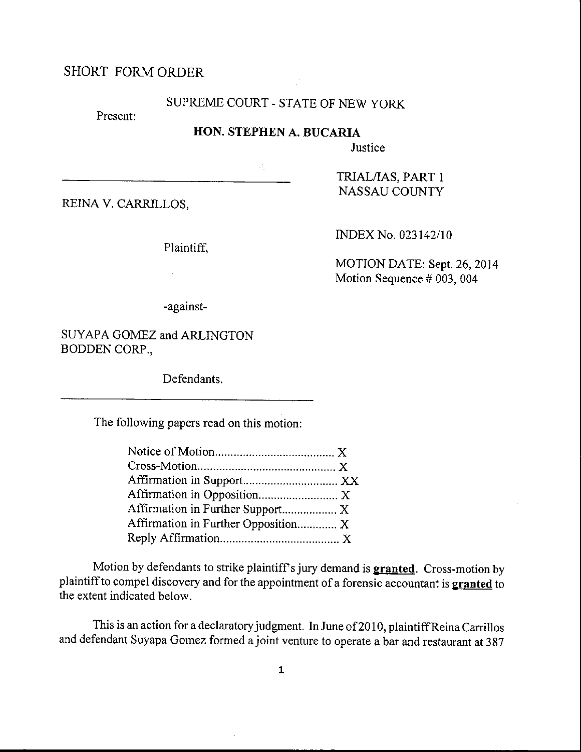# SHORT FORMORDER

## SLIPREME COURT - STATE OF NEW YORK

 $f_{\rm tot}$ 

Present:

#### HON. STEPHEN A, BUCARIA

 $\mathcal{L}_{\infty}^{(0)}$ 

**Justice** 

REINA V. CARRILLOS.

Plaintiff,

 $\bar{z}$ 

NASSAU COUNTY

TzuAL/IAS, PART <sup>1</sup>

INDEX No. 023142110

MOTION DATE: Sept. 26,2014 Motion Sequence # 003, 004

-against-

SUYAPA GOMEZ and ARLINGTON BODDEN CORP.,

Defendants.

The following papers read on this motion:

| Affirmation in Further Support X    |  |
|-------------------------------------|--|
| Affirmation in Further Opposition X |  |
|                                     |  |

Motion by defendants to strike plaintiff's jury demand is **granted**. Cross-motion by plaintiff to compel discovery and for the appointment of a forensic accountant is granted to the extent indicated below.

This is an action for a declaratory judgment. In June of 2010, plaintiff Reina Carrillos and defendant Suyapa Gomez formed a joint venture to operate a bar and restaurant at 387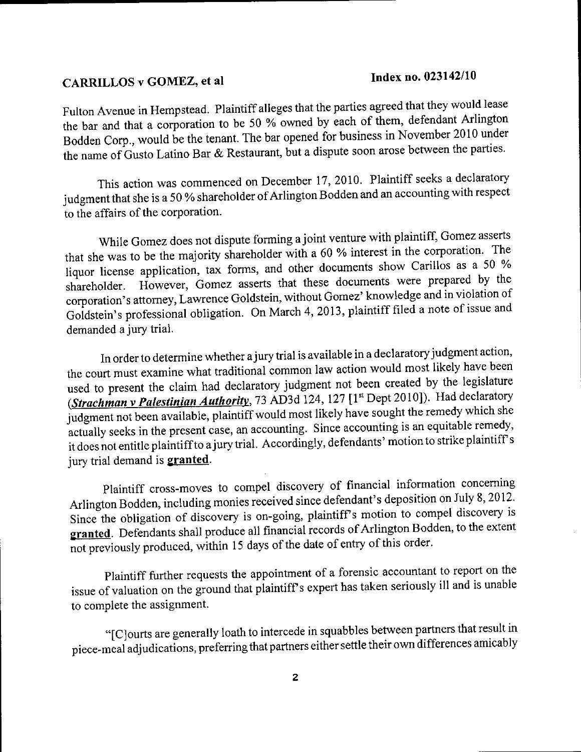### CARRILLOS v GOMEZ, et al

Fulton Avenue in Hempstead. Plaintiff alleges that the parties agreed that they would lease the bar and that a corporation to be 50 % owned by each of them, defendant Arlington Bodden Corp., would be the tenant. The bar opened for business in November 2010 under the name of Gusto Latino Bar & Restaurant, but a dispute soon arose between the parties.

This action was commenced on December 17, 2010. Plaintiff seeks a declaratory judgment that she is a 50 % shareholder of Arlington Bodden and an accounting with respect to the affairs of the corporation.

While Gomez does not dispute forming a joint venture with plaintiff, Gomez asserts that she was to be the majority shareholder with a 60 % interest in the corporation. The liquor license application, tax forms, and other documents show Carillos as a 50 % However, Gomez asserts that these documents were prepared by the shareholder. corporation's attorney, Lawrence Goldstein, without Gomez' knowledge and in violation of Goldstein's professional obligation. On March 4, 2013, plaintiff filed a note of issue and demanded a jury trial.

In order to determine whether a jury trial is available in a declaratory judgment action, the court must examine what traditional common law action would most likely have been used to present the claim had declaratory judgment not been created by the legislature (Strachman v Palestinian Authority, 73 AD3d 124, 127 [1st Dept 2010]). Had declaratory judgment not been available, plaintiff would most likely have sought the remedy which she actually seeks in the present case, an accounting. Since accounting is an equitable remedy, it does not entitle plaintiff to a jury trial. Accordingly, defendants' motion to strike plaintiff's jury trial demand is **granted**.

Plaintiff cross-moves to compel discovery of financial information concerning Arlington Bodden, including monies received since defendant's deposition on July 8, 2012. Since the obligation of discovery is on-going, plaintiff's motion to compel discovery is granted. Defendants shall produce all financial records of Arlington Bodden, to the extent not previously produced, within 15 days of the date of entry of this order.

Plaintiff further requests the appointment of a forensic accountant to report on the issue of valuation on the ground that plaintiff's expert has taken seriously ill and is unable to complete the assignment.

"[C]ourts are generally loath to intercede in squabbles between partners that result in piece-meal adjudications, preferring that partners either settle their own differences amicably